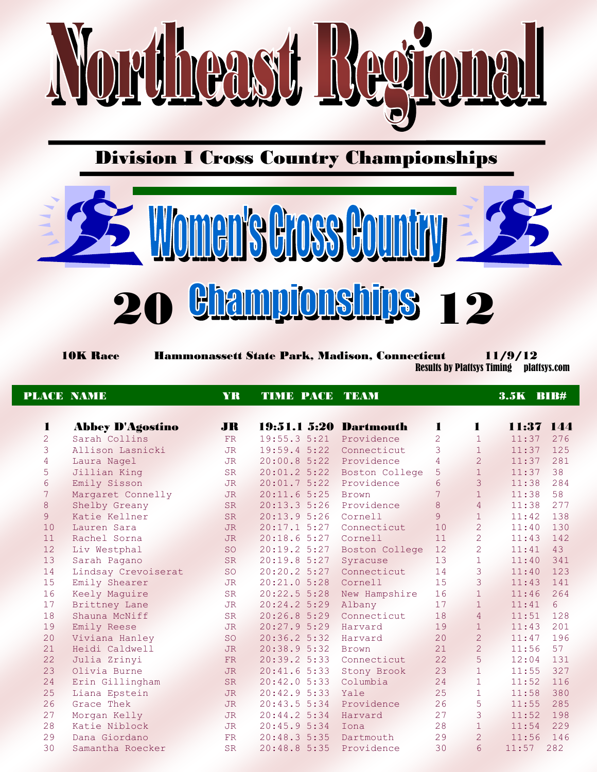

### Division I Cross Country Championships



 10K Race Hammonassett State Park, Madison, Connecticut 11/9/12 Results by Plattsys Timing plattsys.com

|                | <b>PLACE NAME</b>       | <b>YR</b> | <b>TIME PACE TEAM</b>  |                |                |                | <b>3.5K BIB#</b> |     |
|----------------|-------------------------|-----------|------------------------|----------------|----------------|----------------|------------------|-----|
| 1              | <b>Abbey D'Agostino</b> | <b>JR</b> | 19:51.1 5:20 Dartmouth |                | 1              | L              | 11:37 144        |     |
| $\overline{2}$ | Sarah Collins           | <b>FR</b> | 19:55.3 5:21           | Providence     | $\overline{2}$ | $\mathbf{1}$   | 11:37            | 276 |
| 3              | Allison Lasnicki        | <b>JR</b> | 19:59.45:22            | Connecticut    | 3              | $\mathbf{1}$   | 11:37            | 125 |
| $\sqrt{4}$     | Laura Nagel             | <b>JR</b> | $20:00.8$ 5:22         | Providence     | 4              | $\overline{2}$ | 11:37            | 281 |
| 5              | Jillian King            | <b>SR</b> | 20:01.2 5:22           | Boston College | 5              | $\mathbf{1}$   | 11:37            | 38  |
| 6              | Emily Sisson            | JR.       | 20:01.75:22            | Providence     | 6              | 3              | 11:38            | 284 |
| 7              | Margaret Connelly       | <b>JR</b> | $20:11.6$ 5:25         | <b>Brown</b>   | 7              | $\mathbf{1}$   | 11:38            | 58  |
| 8              | Shelby Greany           | <b>SR</b> | 20:13.35:26            | Providence     | $\,8\,$        | $\overline{4}$ | 11:38            | 277 |
| $\overline{9}$ | Katie Kellner           | <b>SR</b> | 20:13.95:26            | Cornell        | $\overline{9}$ | $\mathbf{1}$   | 11:42            | 138 |
| 10             | Lauren Sara             | <b>JR</b> | 20:17.15:27            | Connecticut    | 10             | $\overline{2}$ | 11:40            | 130 |
| 11             | Rachel Sorna            | <b>JR</b> | 20:18.65:27            | Cornell        | 11             | $\overline{2}$ | 11:43            | 142 |
| 12             | Liv Westphal            | SO        | 20:19.2 5:27           | Boston College | 12             | $\overline{2}$ | 11:41            | 43  |
| 13             | Sarah Pagano            | <b>SR</b> | 20:19.8 5:27           | Syracuse       | 13             | $\mathbf{1}$   | 11:40            | 341 |
| 14             | Lindsay Crevoiserat     | <b>SO</b> | 20:20.2 5:27           | Connecticut    | 14             | 3              | 11:40            | 123 |
| 15             | Emily Shearer           | <b>JR</b> | 20:21.0 5:28           | Cornell        | 15             | 3              | 11:43            | 141 |
| 16             | Keely Maguire           | <b>SR</b> | 20:22.5 5:28           | New Hampshire  | 16             | $\mathbf{1}$   | 11:46            | 264 |
| 17             | Brittney Lane           | <b>JR</b> | 20:24.2 5:29           | Albany         | 17             | $\mathbf{1}$   | 11:41            | 6   |
| 18             | Shauna McNiff           | <b>SR</b> | 20:26.85:29            | Connecticut    | 18             | $\overline{4}$ | 11:51            | 128 |
| 19             | Emily Reese             | <b>JR</b> | 20:27.9 5:29           | Harvard        | 19             | $\mathbf{1}$   | 11:43            | 201 |
| 20             | Viviana Hanley          | <b>SO</b> | $20:36.2$ 5:32         | Harvard        | 20             | $\overline{2}$ | 11:47            | 196 |
| 21             | Heidi Caldwell          | <b>JR</b> | 20:38.9 5:32           | <b>Brown</b>   | 21             | $\overline{2}$ | 11:56            | 57  |
| 22             | Julia Zrinyi            | FR.       | 20:39.25:33            | Connecticut    | 22             | 5              | 12:04            | 131 |
| 23             | Olivia Burne            | <b>JR</b> | $20:41.6$ 5:33         | Stony Brook    | 23             | $\mathbf{1}$   | 11:55            | 327 |
| 24             | Erin Gillingham         | <b>SR</b> | 20:42.05:33            | Columbia       | 24             | $\mathbf{1}$   | 11:52            | 116 |
| 25             | Liana Epstein           | <b>JR</b> | 20:42.9 5:33           | Yale           | 25             | $\mathbf{1}$   | 11:58            | 380 |
| 26             | Grace Thek              | <b>JR</b> | 20:43.5 5:34           | Providence     | 26             | 5              | 11:55            | 285 |
| 27             | Morgan Kelly            | <b>JR</b> | 20:44.2 5:34           | Harvard        | 27             | 3              | 11:52            | 198 |
| 28             | Katie Niblock           | <b>JR</b> | 20:45.9 5:34           | Iona           | 28             | $\mathbf{1}$   | 11:54            | 229 |
| 29             | Dana Giordano           | <b>FR</b> | 20:48.35:35            | Dartmouth      | 29             | $\overline{2}$ | 11:56            | 146 |
| 30             | Samantha Roecker        | <b>SR</b> | 20:48.85:35            | Providence     | 30             | $\overline{6}$ | 11:57            | 282 |
|                |                         |           |                        |                |                |                |                  |     |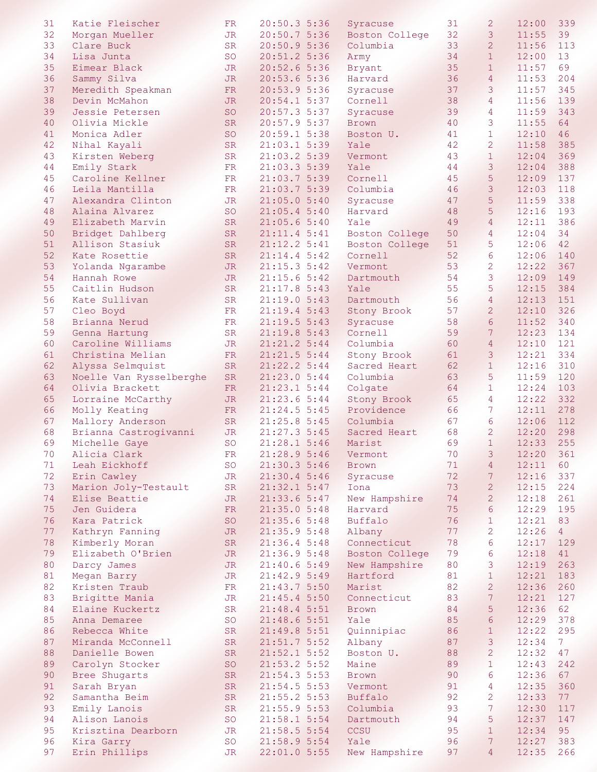| 31 | Katie Fleischer         | FR.        | 20:50.35:36      | Syracuse       | 31 | $\overline{2}$  | 12:00 | 339            |
|----|-------------------------|------------|------------------|----------------|----|-----------------|-------|----------------|
| 32 | Morgan Mueller          | <b>JR</b>  | 20:50.75:36      | Boston College | 32 | 3               | 11:55 | 39             |
| 33 | Clare Buck              | <b>SR</b>  | 20:50.95:36      | Columbia       | 33 | $\overline{2}$  | 11:56 | 113            |
|    |                         |            |                  |                |    |                 |       |                |
| 34 | Lisa Junta              | <b>SO</b>  | $20:51.2$ 5:36   | Army           | 34 | $\mathbf{1}$    | 12:00 | 13             |
| 35 | Eimear Black            | <b>JR</b>  | 20:52.6 5:36     | Bryant         | 35 | $\mathbf{1}$    | 11:57 | 69             |
| 36 | Sammy Silva             | <b>JR</b>  | 20:53.65:36      | Harvard        | 36 | $\overline{4}$  | 11:53 | 204            |
|    |                         |            |                  |                |    |                 |       |                |
| 37 | Meredith Speakman       | <b>FR</b>  | 20:53.9 5:36     | Syracuse       | 37 | 3               | 11:57 | 345            |
| 38 | Devin McMahon           | JR.        | 20:54.15:37      | Cornell        | 38 | $\overline{4}$  | 11:56 | 139            |
| 39 | Jessie Petersen         | <b>SO</b>  | 20:57.3 5:37     | Syracuse       | 39 | 4               | 11:59 | 343            |
|    |                         |            |                  |                |    |                 |       |                |
| 40 | Olivia Mickle           | <b>SR</b>  | 20:57.9 5:37     | <b>Brown</b>   | 40 | 3               | 11:55 | 64             |
| 41 | Monica Adler            | <b>SO</b>  | 20:59.1 5:38     | Boston U.      | 41 | $\mathbf{1}$    | 12:10 | 46             |
| 42 | Nihal Kayali            | <b>SR</b>  | $21:03.1$ 5:39   | Yale           | 42 | $\overline{2}$  | 11:58 | 385            |
|    |                         |            |                  |                |    |                 |       |                |
| 43 | Kirsten Weberg          | ${\rm SR}$ | 21:03.25:39      | Vermont        | 43 | $\mathbf{1}$    | 12:04 | 369            |
| 44 | Emily Stark             | FR         | 21:03.3 5:39     | Yale           | 44 | 3               | 12:04 | 388            |
| 45 | Caroline Kellner        | FR         | 21:03.7 5:39     | Cornell        | 45 | 5               | 12:09 | 137            |
|    |                         |            |                  |                |    |                 |       |                |
| 46 | Leila Mantilla          | FR         | 21:03.7 5:39     | Columbia       | 46 | 3               | 12:03 | 118            |
| 47 | Alexandra Clinton       | JR         | 21:05.05:40      | Syracuse       | 47 | 5               | 11:59 | 338            |
| 48 | Alaina Alvarez          | <b>SO</b>  | 21:05.45:30      | Harvard        | 48 | 5               | 12:16 | 193            |
| 49 | Elizabeth Marvin        | <b>SR</b>  | 21:05.65:30      | Yale           | 49 | $\overline{4}$  | 12:11 | 386            |
|    |                         |            |                  |                |    |                 |       |                |
| 50 | Bridget Dahlberg        | <b>SR</b>  | 21:11.4 5:41     | Boston College | 50 | 4               | 12:04 | 34             |
| 51 | Allison Stasiuk         | <b>SR</b>  | 21:12.2 5:41     | Boston College | 51 | 5               | 12:06 | 42             |
| 52 | Kate Rosettie           | <b>SR</b>  | 21:14.4 5:42     | Cornell        | 52 | 6               | 12:06 | 140            |
|    |                         |            |                  |                |    |                 |       |                |
| 53 | Yolanda Ngarambe        | JR.        | $21:15.3 \t5:42$ | Vermont        | 53 | $\overline{2}$  | 12:22 | 367            |
| 54 | Hannah Rowe             | <b>JR</b>  | 21:15.65:32      | Dartmouth      | 54 | 3               | 12:09 | 149            |
| 55 | Caitlin Hudson          | <b>SR</b>  | 21:17.85:43      | Yale           | 55 | 5               | 12:15 | 384            |
|    |                         |            |                  |                |    |                 |       |                |
| 56 | Kate Sullivan           | <b>SR</b>  | 21:19.05:33      | Dartmouth      | 56 | $\overline{4}$  | 12:13 | 151            |
| 57 | Cleo Boyd               | FR         | 21:19.4 5:43     | Stony Brook    | 57 | $\overline{2}$  | 12:10 | 326            |
| 58 | Brianna Nerud           | FR         | 21:19.5 5:43     | Syracuse       | 58 | 6               | 11:52 | 340            |
|    |                         |            |                  |                |    |                 |       |                |
| 59 | Genna Hartung           | <b>SR</b>  | 21:19.8 5:43     | Cornell        | 59 | $7\phantom{.0}$ | 12:23 | 134            |
| 60 | Caroline Williams       | JR         | 21:21.2 5:44     | Columbia       | 60 | $\overline{4}$  | 12:10 | 121            |
| 61 | Christina Melian        | FR         | 21:21.5 5:44     | Stony Brook    | 61 | 3               | 12:21 | 334            |
|    |                         |            |                  |                |    |                 |       |                |
| 62 | Alyssa Selmquist        | <b>SR</b>  | 21:22.2 5:44     | Sacred Heart   | 62 | $\mathbf{1}$    | 12:16 | 310            |
| 63 | Noelle Van Rysselberghe | ${\rm SR}$ | 21:23.0 5:44     | Columbia       | 63 | 5               | 11:59 | 120            |
| 64 | Olivia Brackett         | FR         | 21:23.1 5:44     | Colgate        | 64 | $\mathbf{1}$    | 12:24 | 103            |
|    |                         |            |                  |                |    |                 |       |                |
| 65 | Lorraine McCarthy       | <b>JR</b>  | 21:23.6 5:44     | Stony Brook    | 65 | 4               | 12:22 | 332            |
| 66 | Molly Keating           | FR.        | $21:24.5$ 5:45   | Providence     | 66 | $7\phantom{.0}$ | 12:11 | 278            |
| 67 | Mallory Anderson        | <b>SR</b>  | 21:25.85:345     | Columbia       | 67 | 6               | 12:06 | 112            |
|    |                         |            |                  | Sacred Heart   |    |                 |       |                |
| 68 | Brianna Castrogivanni   | <b>JR</b>  | 21:27.3 5:45     |                | 68 | $\overline{c}$  | 12:20 | 298            |
| 69 | Michelle Gaye           | <b>SO</b>  | 21:28.15:46      | Marist         | 69 | $\mathbf{1}$    | 12:33 | 255            |
| 70 | Alicia Clark            | ${\rm FR}$ | 21:28.9 5:46     | Vermont        | 70 | $\mathbf{3}$    | 12:20 | 361            |
| 71 | Leah Eickhoff           | <b>SO</b>  | 21:30.3 5:46     | <b>Brown</b>   | 71 | $\overline{4}$  | 12:11 | 60             |
|    |                         |            |                  |                |    |                 |       |                |
| 72 | Erin Cawley             | JR         | 21:30.4 5:46     | Syracuse       | 72 | $7\phantom{.}$  | 12:16 | 337            |
| 73 | Marion Joly-Testault    | <b>SR</b>  | 21:32.15:47      | Iona           | 73 | $\overline{2}$  | 12:15 | 224            |
| 74 | Elise Beattie           | <b>JR</b>  | 21:33.65:37      | New Hampshire  | 74 | $\overline{2}$  | 12:18 | 261            |
|    |                         |            |                  |                |    |                 |       |                |
| 75 | Jen Guidera             | <b>FR</b>  | 21:35.05:38      | Harvard        | 75 | $6\phantom{.}6$ | 12:29 | 195            |
| 76 | Kara Patrick            | SO         | 21:35.65:38      | Buffalo        | 76 | $\mathbf{1}$    | 12:21 | 83             |
| 77 | Kathryn Fanning         | <b>JR</b>  | 21:35.95:48      | Albany         | 77 | $\overline{c}$  | 12:26 | 4              |
|    |                         |            |                  |                |    |                 |       |                |
| 78 | Kimberly Moran          | SR         | 21:36.45:38      | Connecticut    | 78 | 6               | 12:17 | 129            |
| 79 | Elizabeth O'Brien       | <b>JR</b>  | 21:36.95:38      | Boston College | 79 | 6               | 12:18 | 41             |
| 80 | Darcy James             | <b>JR</b>  | 21:40.65:39      | New Hampshire  | 80 | 3               | 12:19 | 263            |
| 81 | Megan Barry             | JR         | 21:42.95:49      | Hartford       | 81 | $1\,$           | 12:21 | 183            |
|    |                         |            |                  |                |    |                 |       |                |
| 82 | Kristen Traub           | FR         | 21:43.7 5:50     | Marist         | 82 | $\overline{2}$  | 12:36 | 260            |
| 83 | Brigitte Mania          | JR         | 21:45.45:50      | Connecticut    | 83 | $\overline{7}$  | 12:21 | 127            |
| 84 | Elaine Kuckertz         | SR         | 21:48.4 5:51     | Brown          | 84 | 5               | 12:36 | 62             |
|    |                         |            |                  |                |    |                 |       |                |
| 85 | Anna Demaree            | SO         | 21:48.65:51      | Yale           | 85 | $6\phantom{.}6$ | 12:29 | 378            |
| 86 | Rebecca White           | <b>SR</b>  | 21:49.85:51      | Quinnipiac     | 86 | $1\,$           | 12:22 | 295            |
| 87 | Miranda McConnell       | <b>SR</b>  | 21:51.75:52      | Albany         | 87 | 3               | 12:34 | 7 <sup>7</sup> |
|    |                         |            |                  |                |    |                 |       |                |
| 88 | Danielle Bowen          | SR         | $21:52.1$ 5:52   | Boston U.      | 88 | $\overline{c}$  | 12:32 | 47             |
| 89 | Carolyn Stocker         | SO         | 21:53.2 5:52     | Maine          | 89 | $\mathbf{1}$    | 12:43 | 242            |
| 90 | Bree Shugarts           | SR         | 21:54.3 5:53     | <b>Brown</b>   | 90 | $\epsilon$      | 12:36 | 67             |
|    |                         |            |                  |                |    |                 |       |                |
| 91 | Sarah Bryan             | SR         | $21:54.5$ 5:53   | Vermont        | 91 | 4               | 12:35 | 360            |
| 92 | Samantha Beim           | SR         | 21:55.2 5:53     | Buffalo        | 92 | 2               | 12:33 | 77             |
| 93 | Emily Lanois            | SR         | 21:55.95:53      | Columbia       | 93 | 7 <sup>1</sup>  | 12:30 | 117            |
| 94 | Alison Lanois           | SO         | 21:58.15:54      | Dartmouth      | 94 | 5               | 12:37 | 147            |
|    |                         |            |                  |                |    |                 |       |                |
| 95 | Krisztina Dearborn      | JR         | 21:58.5 5:54     | CCSU           | 95 | $\mathbf{1}$    | 12:34 | 95             |
| 96 | Kira Garry              | <b>SO</b>  | 21:58.9 5:54     | Yale           | 96 | $7\phantom{.0}$ | 12:27 | 383            |
| 97 | Erin Phillips           | JR         | 22:01.0 5:55     | New Hampshire  | 97 | 4               | 12:35 | 266            |
|    |                         |            |                  |                |    |                 |       |                |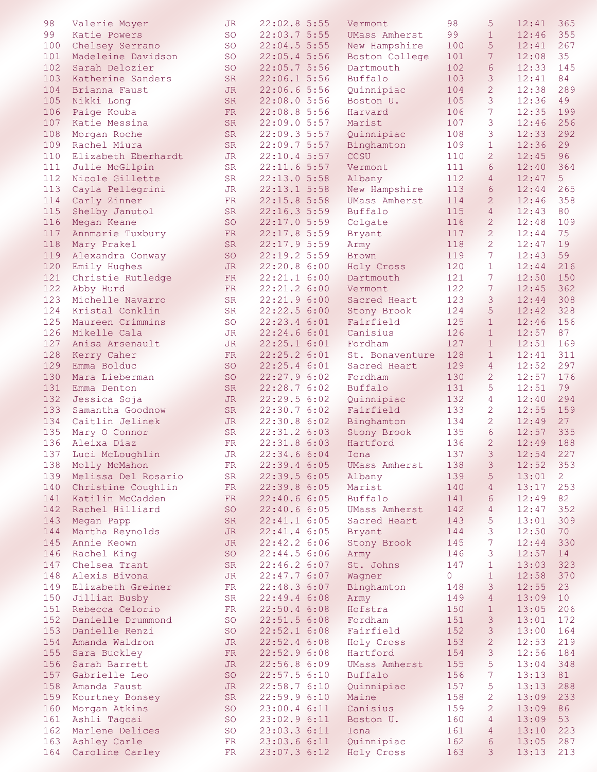| 98  | Valerie Moyer         | JR.        | 22:02.85:55    | Vermont              | 98             | 5              | 12:41 | 365            |
|-----|-----------------------|------------|----------------|----------------------|----------------|----------------|-------|----------------|
| 99  | Katie Powers          | SO         | 22:03.75:55    | UMass Amherst        | 99             | $\mathbf{1}$   | 12:46 | 355            |
| 100 | Chelsey Serrano       | <b>SO</b>  | $22:04.5$ 5:55 | New Hampshire        | 100            | 5              | 12:41 | 267            |
| 101 | Madeleine Davidson    | <b>SO</b>  | 22:05.45:56    | Boston College       | 101            | $7\phantom{.}$ | 12:08 | 35             |
| 102 | Sarah Delozier        | <b>SO</b>  | 22:05.7 5:56   | Dartmouth            | 102            | 6              | 12:33 | 145            |
| 103 | Katherine Sanders     | <b>SR</b>  | 22:06.15:56    | Buffalo              | 103            | 3              | 12:41 | 84             |
|     |                       |            |                |                      |                |                |       |                |
| 104 | Brianna Faust         | <b>JR</b>  | 22:06.65:56    | Quinnipiac           | 104            | $\overline{2}$ | 12:38 | 289            |
| 105 | Nikki Long            | <b>SR</b>  | 22:08.05:56    | Boston U.            | 105            | 3              | 12:36 | 49             |
| 106 | Paige Kouba           | FR         | 22:08.8 5:56   | Harvard              | 106            | 7              | 12:35 | 199            |
| 107 | Katie Messina         | ${\rm SR}$ | 22:09.0 5:57   | Marist               | 107            | 3              | 12:46 | 256            |
| 108 | Morgan Roche          | ${\rm SR}$ | 22:09.3 5:57   | Quinnipiac           | 108            | 3              | 12:33 | 292            |
| 109 | Rachel Miura          | <b>SR</b>  | 22:09.75:57    | Binghamton           | 109            | $\mathbf{1}$   | 12:36 | 29             |
| 110 | Elizabeth Eberhardt   | <b>JR</b>  | $22:10.4$ 5:57 | CCSU                 | 110            | $\overline{2}$ | 12:45 | 96             |
| 111 | Julie McGilpin        | ${\rm SR}$ | 22:11.65:57    | Vermont              | 111            | 6              | 12:40 | 364            |
| 112 | Nicole Gillette       | <b>SR</b>  | 22:13.0 5:58   | Albany               | 112            | $\overline{4}$ | 12:47 | 5              |
| 113 | Cayla Pellegrini      | JR         | 22:13.15:58    | New Hampshire        | 113            | 6              | 12:44 | 265            |
| 114 | Carly Zinner          | FR.        | 22:15.85:58    | <b>UMass Amherst</b> | 114            | $\overline{2}$ | 12:46 | 358            |
| 115 | Shelby Janutol        | <b>SR</b>  | $22:16.3$ 5:59 | Buffalo              | 115            | $\overline{4}$ | 12:43 | 80             |
| 116 | Megan Keane           | <b>SO</b>  | 22:17.0 5:59   |                      | 116            | $\overline{2}$ | 12:48 | 109            |
|     |                       |            |                | Colgate              |                |                |       |                |
| 117 | Annmarie Tuxbury      | FR         | $22:17.8$ 5:59 | Bryant               | 117            | $\overline{2}$ | 12:44 | 75             |
| 118 | Mary Prakel           | <b>SR</b>  | 22:17.95:59    | Army                 | 118            | $\overline{2}$ | 12:47 | 19             |
| 119 | Alexandra Conway      | <b>SO</b>  | 22:19.2 5:59   | Brown                | 119            | $\overline{7}$ | 12:43 | 59             |
| 120 | Emily Hughes          | <b>JR</b>  | 22:20.8 6:00   | Holy Cross           | 120            | $\mathbf{1}$   | 12:44 | 216            |
| 121 | Christie Rutledge     | FR         | 22:21.1 6:00   | Dartmouth            | 121            | 7              | 12:50 | 150            |
| 122 | Abby Hurd             | FR         | 22:21.2 6:00   | Vermont              | 122            | 7              | 12:45 | 362            |
| 123 | Michelle Navarro      | <b>SR</b>  | 22:21.9 6:00   | Sacred Heart         | 123            | 3              | 12:44 | 308            |
| 124 | Kristal Conklin       | <b>SR</b>  | 22:22.5 6:00   | Stony Brook          | 124            | 5              | 12:42 | 328            |
| 125 | Maureen Crimmins      | <b>SO</b>  | 22:23.4 6:01   | Fairfield            | 125            | $\mathbf{1}$   | 12:46 | 156            |
| 126 | Mikelle Cala          | <b>JR</b>  | 22:24.66:01    | Canisius             | 126            | $\mathbf{1}$   | 12:57 | 87             |
| 127 | Anisa Arsenault       | JR         | 22:25.1 6:01   | Fordham              | 127            | $\mathbf{1}$   | 12:51 | 169            |
| 128 | Kerry Caher           | FR         | 22:25.2 6:01   | St. Bonaventure      | 128            | $\mathbf{1}$   | 12:41 | 311            |
| 129 | Emma Bolduc           | <b>SO</b>  | 22:25.46::01   | Sacred Heart         | 129            | $\overline{4}$ | 12:52 | 297            |
| 130 | Mara Lieberman        | <b>SO</b>  | 22:27.96:02    | Fordham              | 130            | $\overline{2}$ | 12:57 | 176            |
| 131 | Emma Denton           | <b>SR</b>  | 22:28.76:02    | Buffalo              | 131            | 5              | 12:51 | 79             |
|     |                       |            |                |                      |                | $\overline{4}$ | 12:40 |                |
| 132 | Jessica Soja          | JR.        | 22:29.5 6:02   | Quinnipiac           | 132            |                |       | 294            |
| 133 | Samantha Goodnow      | <b>SR</b>  | 22:30.7 6:02   | Fairfield            | 133            | $\overline{2}$ | 12:55 | 159            |
| 134 | Caitlin Jelinek       | JR.        | 22:30.8 6:02   | Binghamton           | 134            | $\overline{2}$ | 12:49 | 27             |
| 135 | Mary O Connor         | SR         | 22:31.2 6:03   | Stony Brook          | 135            | 6              | 12:57 | 335            |
| 136 | Aleixa Diaz           | <b>FR</b>  | 22:31.8 6:03   | Hartford             | 136            | $\overline{2}$ | 12:49 | 188            |
| 137 | Luci McLoughlin       | JR         | 22:34.6 6:04   | Iona                 | 137            | $\mathcal{S}$  | 12:54 | 227            |
| 138 | Molly McMahon         | FR         | 22:39.4 6:05   | UMass Amherst        | 138            | 3              | 12:52 | 353            |
| 139 | Melissa Del Rosario   | SR         | 22:39.56:05    | Albany               | 139            | 5              | 13:01 | $\overline{2}$ |
| 140 | Christine Coughlin    | FR         | 22:39.8 6:05   | Marist               | 140            | $\overline{4}$ | 13:17 | 253            |
| 141 | Katilin McCadden      | FR         | 22:40.6 6:05   | Buffalo              | 141            | $6\phantom{1}$ | 12:49 | 82             |
| 142 | Rachel Hilliard       | SO         | 22:40.66:05    | <b>UMass Amherst</b> | 142            | $\overline{4}$ | 12:47 | 352            |
| 143 | Megan Papp            | SR         | $22:41.1$ 6:05 | Sacred Heart         | 143            | $5\phantom{.}$ | 13:01 | 309            |
| 144 | Martha Reynolds       | <b>JR</b>  | $22:41.4$ 6:05 | Bryant               | 144            | 3              | 12:50 | 70             |
| 145 | Annie Keown           | <b>JR</b>  | $22:42.2$ 6:06 | Stony Brook          | 145            | 7 <sup>1</sup> | 12:44 | 330            |
| 146 | Rachel King           | SO         | $22:44.5$ 6:06 | Army                 | 146            | 3              | 12:57 | 14             |
|     | 147 Chelsea Trant     | SR         | 22:46.2 6:07   | St. Johns            | 147            | $\mathbf{1}$   | 13:03 | 323            |
| 148 | Alexis Bivona         | <b>JR</b>  | 22:47.7 6:07   | Wagner               | $\overline{0}$ | $\mathbf{1}$   | 12:58 | 370            |
|     | 149 Elizabeth Greiner |            | 22:48.3 6:07   |                      |                | 3              | 12:55 | 23             |
|     |                       | FR         |                | Binghamton           | 148            |                |       |                |
| 150 | Jillian Busby         | SR         | $22:49.4$ 6:08 | Army                 | 149            | $\overline{4}$ | 13:09 | 10             |
| 151 | Rebecca Celorio       | FR         | $22:50.4$ 6:08 | Hofstra              | 150            | $\mathbf{1}$   | 13:05 | 206            |
| 152 | Danielle Drummond     | SO         | $22:51.5$ 6:08 | Fordham              | 151            | $\mathcal{E}$  | 13:01 | 172            |
| 153 | Danielle Renzi        | SO         | $22:52.1$ 6:08 | Fairfield            | 152            | $\mathfrak{Z}$ | 13:00 | 164            |
| 154 | Amanda Waldron        | <b>JR</b>  | 22:52.46:08    | Holy Cross           | 153            | $\overline{2}$ | 12:53 | 219            |
| 155 | Sara Buckley          | ${\rm FR}$ | 22:52.96:08    | Hartford             | 154            | 3              | 12:56 | 184            |
| 156 | Sarah Barrett         | <b>JR</b>  | 22:56.8 6:09   | UMass Amherst        | 155            | 5              | 13:04 | 348            |
|     | 157 Gabrielle Leo     | SO         | 22:57.56:10    | Buffalo              | 156            | $7\phantom{.}$ | 13:13 | 81             |
|     | 158 Amanda Faust      | <b>JR</b>  | 22:58.7 6:10   | Quinnipiac           | 157            | 5              | 13:13 | 288            |
|     | 159 Kourtney Bonsey   | SR         | 22:59.96:10    | Maine                | 158            | 2              | 13:09 | 233            |
| 160 | Morgan Atkins         | SO         | 23:00.4 6:11   | Canisius             | 159            | $\overline{2}$ | 13:09 | 86             |
| 161 | Ashli Tagoai          | SO         | 23:02.96:11    | Boston U.            | 160            | $\overline{4}$ | 13:09 | 53             |
| 162 | Marlene Delices       | SO         | 23:03.3 6:11   | Iona                 | 161            | 4              | 13:10 | 223            |
| 163 | Ashley Carle          | FR         | 23:03.6 6:11   | Quinnipiac           | 162            | 6              | 13:05 | 287            |
| 164 | Caroline Carley       | FR         | 23:07.36:12    | Holy Cross           | 163            | $\mathcal{E}$  | 13:13 | 213            |
|     |                       |            |                |                      |                |                |       |                |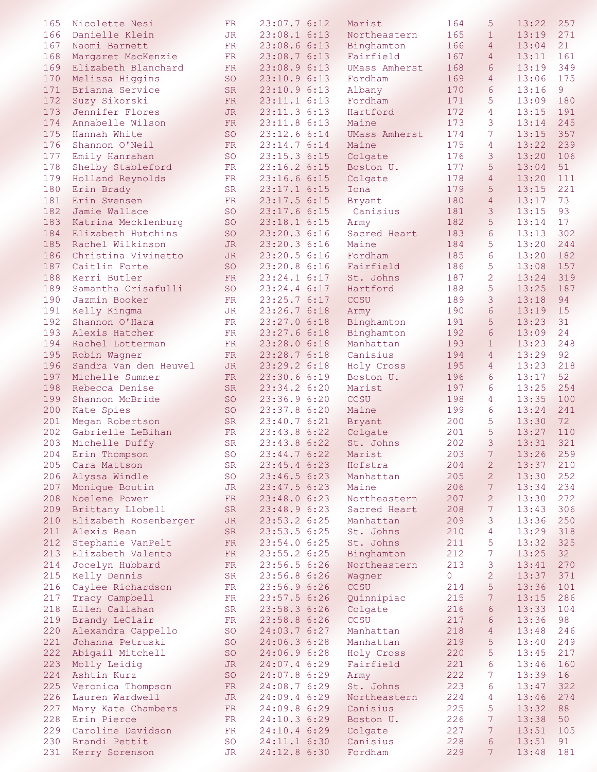| 165 | Nicolette Nesi        | FR.        | 23:07.76:12    | Marist               | 164            | 5               | 13:22 | 257 |
|-----|-----------------------|------------|----------------|----------------------|----------------|-----------------|-------|-----|
| 166 | Danielle Klein        | <b>JR</b>  | $23:08.1$ 6:13 | Northeastern         | 165            | $\mathbf{1}$    | 13:19 | 271 |
| 167 | Naomi Barnett         | FR.        | 23:08.66:13    | Binghamton           | 166            | $\overline{4}$  | 13:04 | 21  |
|     |                       |            |                |                      |                |                 |       |     |
| 168 | Margaret MacKenzie    | FR         | 23:08.76:13    | Fairfield            | 167            | $\overline{4}$  | 13:11 | 161 |
| 169 | Elizabeth Blanchard   | FR         | 23:08.9 6:13   | UMass Amherst        | 168            | 6               | 13:19 | 349 |
| 170 | Melissa Higgins       | <b>SO</b>  | 23:10.9 6:13   | Fordham              | 169            | $\overline{4}$  | 13:06 | 175 |
| 171 |                       | <b>SR</b>  | 23:10.9 6:13   |                      | 170            | $6\phantom{.}6$ | 13:16 | 9   |
|     | Brianna Service       |            |                | Albany               |                |                 |       |     |
| 172 | Suzy Sikorski         | <b>FR</b>  | 23:11.1 6:13   | Fordham              | 171            | 5               | 13:09 | 180 |
| 173 | Jennifer Flores       | <b>JR</b>  | 23:11.3 6:13   | Hartford             | 172            | $\overline{4}$  | 13:15 | 191 |
| 174 | Annabelle Wilson      | FR         | 23:11.8 6:13   | Maine                | 173            | 3               | 13:14 | 245 |
|     |                       |            |                |                      |                |                 |       |     |
| 175 | Hannah White          | <b>SO</b>  | 23:12.6 6:14   | <b>UMass Amherst</b> | 174            | 7               | 13:15 | 357 |
| 176 | Shannon O'Neil        | FR         | 23:14.7 6:14   | Maine                | 175            | 4               | 13:22 | 239 |
| 177 | Emily Hanrahan        | <b>SO</b>  | 23:15.3 6:15   | Colgate              | 176            | 3               | 13:20 | 106 |
| 178 | Shelby Stableford     | ${\rm FR}$ | 23:16.2 6:15   | Boston U.            | 177            | 5               | 13:04 | 51  |
|     |                       |            |                |                      |                |                 |       |     |
| 179 | Holland Reynolds      | FR         | 23:16.66:15    | Colgate              | 178            | $\overline{4}$  | 13:20 | 111 |
| 180 | Erin Brady            | <b>SR</b>  | 23:17.1 6:15   | Iona                 | 179            | 5               | 13:15 | 221 |
| 181 | Erin Svensen          | FR         | 23:17.5 6:15   | Bryant               | 180            | $\overline{4}$  | 13:17 | 73  |
| 182 | Jamie Wallace         | <b>SO</b>  | 23:17.66:15    | Canisius             | 181            | 3               | 13:15 | 93  |
|     |                       |            |                |                      |                |                 |       |     |
| 183 | Katrina Mecklenburg   | <b>SO</b>  | 23:18.1 6:15   | Army                 | 182            | 5               | 13:14 | 17  |
| 184 | Elizabeth Hutchins    | <b>SO</b>  | 23:20.3 6:16   | Sacred Heart         | 183            | 6               | 13:13 | 302 |
| 185 | Rachel Wilkinson      | <b>JR</b>  | 23:20.3 6:16   | Maine                | 184            | 5               | 13:20 | 244 |
| 186 | Christina Vivinetto   |            | 23:20.56:16    | Fordham              | 185            | 6               | 13:20 | 182 |
|     |                       | JR.        |                |                      |                |                 |       |     |
| 187 | Caitlin Forte         | SO         | 23:20.8 6:16   | Fairfield            | 186            | 5               | 13:08 | 157 |
| 188 | Kerri Butler          | FR         | 23:24.1 6:17   | St. Johns            | 187            | $\overline{2}$  | 13:24 | 319 |
| 189 | Samantha Crisafulli   | SO         | 23:24.4 6:17   | Hartford             | 188            | 5               | 13:25 | 187 |
|     |                       |            |                |                      |                | 3               |       | 94  |
| 190 | Jazmin Booker         | FR         | 23:25.7 6:17   | CCSU                 | 189            |                 | 13:18 |     |
| 191 | Kelly Kingma          | <b>JR</b>  | 23:26.7 6:18   | Army                 | 190            | 6               | 13:19 | 15  |
| 192 | Shannon O'Hara        | FR         | 23:27.0 6:18   | Binghamton           | 191            | 5               | 13:23 | 31  |
| 193 | Alexis Hatcher        | FR         | 23:27.6 6:18   | Binghamton           | 192            | $6\phantom{1}6$ | 13:09 | 24  |
|     |                       |            |                |                      |                |                 |       |     |
| 194 | Rachel Lotterman      | FR         | 23:28.0 6:18   | Manhattan            | 193            | $\mathbf{1}$    | 13:23 | 248 |
| 195 | Robin Wagner          | FR         | 23:28.7 6:18   | Canisius             | 194            | $\overline{4}$  | 13:29 | 92  |
| 196 | Sandra Van den Heuvel | <b>JR</b>  | 23:29.2 6:18   | Holy Cross           | 195            | $\overline{4}$  | 13:23 | 218 |
| 197 | Michelle Sumner       | FR         | 23:30.6 6:19   | Boston U.            | 196            | $6\phantom{1}6$ | 13:17 | 52  |
|     |                       |            |                |                      |                |                 |       |     |
| 198 | Rebecca Denise        | <b>SR</b>  | 23:34.2 6:20   | Marist               | 197            | $6\phantom{1}6$ | 13:25 | 254 |
| 199 | Shannon McBride       | <b>SO</b>  | 23:36.9 6:20   | CCSU                 | 198            | 4               | 13:35 | 100 |
| 200 | Kate Spies            | <b>SO</b>  | 23:37.8 6:20   | Maine                | 199            | 6               | 13:24 | 241 |
| 201 | Megan Robertson       | SR         | 23:40.76:21    | Bryant               | 200            | 5               | 13:30 | 72  |
|     |                       |            |                |                      |                |                 |       |     |
| 202 | Gabrielle LeBihan     | FR         | 23:43.8 6:22   | Colgate              | 201            | 5               | 13:27 | 110 |
| 203 | Michelle Duffy        | <b>SR</b>  | 23:43.8 6:22   | St. Johns            | 202            | 3               | 13:31 | 321 |
| 204 | Erin Thompson         | SO         | 23:44.7 6:22   | Marist               | 203            | $\overline{7}$  | 13:26 | 259 |
| 205 | Cara Mattson          | SR         | 23:45.4 6:23   | Hofstra              | 204            |                 | 13:37 | 210 |
|     |                       |            |                |                      |                | 2               |       |     |
| 206 | Alyssa Windle         | SO         | 23:46.56:23    | Manhattan            | 205            | $\overline{2}$  | 13:30 | 252 |
|     | 207 Monique Boutin    | JR         | 23:47.56:23    | Maine                | 206            | 7 <sup>1</sup>  | 13:34 | 234 |
|     | 208 Noelene Power     | FR         | 23:48.06:23    | Northeastern         | 207            | $\overline{2}$  | 13:30 | 272 |
|     |                       |            |                |                      |                |                 |       |     |
|     | 209 Brittany Llobell  | SR         | 23:48.96:23    | Sacred Heart         | 208            | 7 <sup>7</sup>  | 13:43 | 306 |
| 210 | Elizabeth Rosenberger | JR         | $23:53.2$ 6:25 | Manhattan            | 209            | 3               | 13:36 | 250 |
| 211 | Alexis Bean           | SR         | 23:53.56:25    | St. Johns            | 210            | $\overline{4}$  | 13:29 | 318 |
| 212 | Stephanie VanPelt     | ${\rm FR}$ | 23:54.06:25    | St. Johns            | 211            | 5               | 13:32 | 325 |
|     |                       |            |                |                      |                |                 |       |     |
| 213 | Elizabeth Valento     | FR         | $23:55.2$ 6:25 | Binghamton           | 212            | 7 <sup>1</sup>  | 13:25 | 32  |
| 214 | Jocelyn Hubbard       | FR         | 23:56.5 6:26   | Northeastern         | 213            | 3               | 13:41 | 270 |
|     | 215 Kelly Dennis      | SR         | 23:56.8 6:26   | Wagner               | $\overline{0}$ | $\overline{c}$  | 13:37 | 371 |
|     | 216 Caylee Richardson | FR         | 23:56.9 6:26   | CCSU                 | 214            | 5               | 13:36 | 101 |
|     |                       |            |                |                      |                |                 |       |     |
| 217 | Tracy Campbell        | FR         | 23:57.5 6:26   | Quinnipiac           | 215            | 7 <sup>1</sup>  | 13:15 | 286 |
| 218 | Ellen Callahan        | SR         | 23:58.3 6:26   | Colgate              | 216            | $6\phantom{1}$  | 13:33 | 104 |
| 219 | Brandy LeClair        | FR         | 23:58.8 6:26   | CCSU                 | 217            | $6\phantom{1}$  | 13:36 | 98  |
| 220 | Alexandra Cappello    | SO         | 24:03.7 6:27   | Manhattan            | 218            | $\overline{4}$  | 13:48 | 246 |
|     |                       |            |                |                      |                |                 |       |     |
| 221 | Johanna Petruski      | SO         | 24:06.3 6:28   | Manhattan            | 219            | 5               | 13:40 | 249 |
| 222 | Abigail Mitchell      | SO         | 24:06.96:28    | Holy Cross           | 220            | 5               | 13:45 | 217 |
| 223 | Molly Leidig          | <b>JR</b>  | 24:07.4 6:29   | Fairfield            | 221            | $\sqrt{6}$      | 13:46 | 160 |
| 224 | Ashtin Kurz           |            |                |                      | 222            | $7\phantom{.}$  | 13:39 | 16  |
|     |                       | SO         | 24:07.8 6:29   | Army                 |                |                 |       |     |
|     | 225 Veronica Thompson | FR         | 24:08.7 6:29   | St. Johns            | 223            | 6               | 13:47 | 322 |
| 226 | Lauren Wardwell       | <b>JR</b>  | 24:09.4 6:29   | Northeastern         | 224            | 4               | 13:46 | 274 |
| 227 | Mary Kate Chambers    | FR         | 24:09.8 6:29   | Canisius             | 225            | 5               | 13:32 | 88  |
| 228 | Erin Pierce           | FR         | 24:10.3 6:29   | Boston U.            | 226            | 7 <sup>7</sup>  | 13:38 | 50  |
|     |                       |            |                |                      |                |                 |       |     |
| 229 | Caroline Davidson     | FR         | 24:10.4 6:29   | Colgate              | 227            | 7 <sup>1</sup>  | 13:51 | 105 |
| 230 | Brandi Pettit         | <b>SO</b>  | 24:11.1 6:30   | Canisius             | 228            | 6               | 13:51 | 91  |
| 231 | Kerry Sorenson        | JR         | 24:12.8 6:30   | Fordham              | 229            | $7\phantom{.}$  | 13:48 | 181 |
|     |                       |            |                |                      |                |                 |       |     |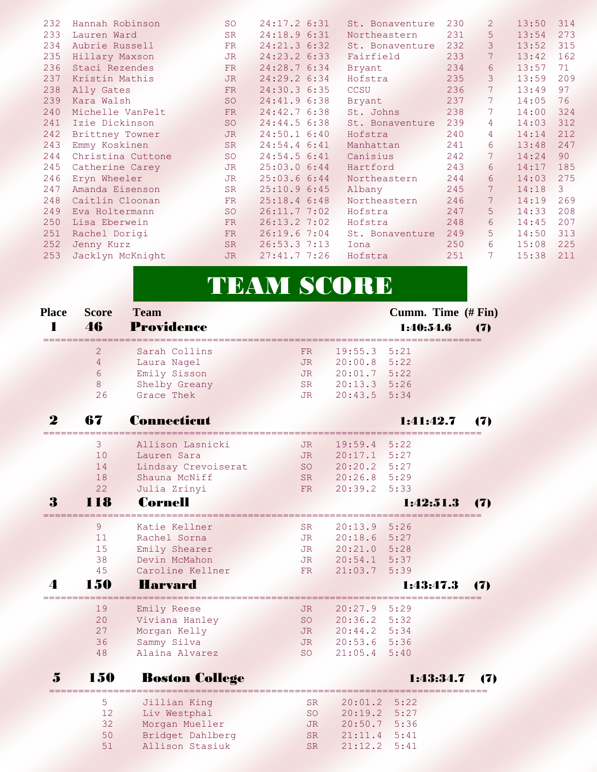| 232 | Hannah Robinson   | <b>SO</b> | 24:17.2 6:31   | St. Bonaventure | 230 | $\overline{2}$  | 13:50 | 314 |
|-----|-------------------|-----------|----------------|-----------------|-----|-----------------|-------|-----|
| 233 | Lauren Ward       | <b>SR</b> | 24:18.9 6:31   | Northeastern    | 231 | 5               | 13:54 | 273 |
| 234 | Aubrie Russell    | FR        | 24:21.3 6:32   | St. Bonaventure | 232 | 3               | 13:52 | 315 |
| 235 | Hillary Maxson    | JR.       | 24:23.2 6:33   | Fairfield       | 233 | 7               | 13:42 | 162 |
| 236 | Staci Rezendes    | <b>FR</b> | 24:28.7 6:34   | Bryant          | 234 | 6               | 13:57 | 71  |
| 237 | Kristin Mathis    | <b>JR</b> | 24:29.2 6:34   | Hofstra         | 235 | 3               | 13:59 | 209 |
| 238 | Ally Gates        | FR        | 24:30.3 6:35   | <b>CCSU</b>     | 236 | 7               | 13:49 | 97  |
| 239 | Kara Walsh        | <b>SO</b> | 24:41.9 6:38   | Bryant          | 237 | 7               | 14:05 | 76  |
| 240 | Michelle VanPelt  | <b>FR</b> | 24:42.76:38    | St. Johns       | 238 | $7\phantom{.0}$ | 14:00 | 324 |
| 241 | Izie Dickinson    | <b>SO</b> | 24:44.56:38    | St. Bonaventure | 239 | 4               | 14:03 | 312 |
| 242 | Brittney Towner   | <b>JR</b> | $24:50.1$ 6:40 | Hofstra         | 240 | 4               | 14:14 | 212 |
| 243 | Emmy Koskinen     | <b>SR</b> | 24:54.4 6:41   | Manhattan       | 241 | 6               | 13:48 | 247 |
| 244 | Christina Cuttone | <b>SO</b> | 24:54.56:31    | Canisius        | 242 | 7               | 14:24 | 90  |
| 245 | Catherine Carey   | <b>JR</b> | 25:03.06:44    | Hartford        | 243 | 6               | 14:17 | 185 |
| 246 | Eryn Wheeler      | JR.       | 25:03.66:44    | Northeastern    | 244 | 6               | 14:03 | 275 |
| 247 | Amanda Eisenson   | <b>SR</b> | 25:10.96:35    | Albany          | 245 | 7               | 14:18 | 3   |
| 248 | Caitlin Cloonan   | FR.       | $25:18.4$ 6:48 | Northeastern    | 246 | 7               | 14:19 | 269 |
| 249 | Eva Holtermann    | <b>SO</b> | 26:11.77:02    | Hofstra         | 247 | 5               | 14:33 | 208 |
| 250 | Lisa Eberwein     | FR        | 26:13.27:02    | Hofstra         | 248 | 6               | 14:45 | 207 |
| 251 | Rachel Dorigi     | <b>FR</b> | 26:19.67:04    | St. Bonaventure | 249 | 5               | 14:50 | 313 |
| 252 | Jenny Kurz        | <b>SR</b> | 26:53.37:13    | Iona            | 250 | 6               | 15:08 | 225 |
| 253 | Jacklyn McKnight  | JR.       | 27:41.77:26    | Hofstra         | 251 | 7               | 15:38 | 211 |
|     |                   |           |                |                 |     |                 |       |     |

# TEAM SCORE

| <b>Place</b><br>1 | <b>Score</b><br>46 | <b>Team</b><br><b>Providence</b> |           |         | Cumm. Time (# Fin)<br>1:40:54.6 | (7) |
|-------------------|--------------------|----------------------------------|-----------|---------|---------------------------------|-----|
|                   | 2                  | Sarah Collins                    | <b>FR</b> | 19:55.3 | 5:21                            |     |
|                   | $\overline{4}$     | Laura Nagel                      | <b>JR</b> | 20:00.8 | 5:22                            |     |
|                   | $\sigma$           | Emily Sisson                     | <b>JR</b> | 20:01.7 | 5:22                            |     |
|                   | 8                  | Shelby Greany                    | <b>SR</b> | 20:13.3 | 5:26                            |     |
|                   | 26                 | Grace Thek                       | <b>JR</b> | 20:43.5 | 5:34                            |     |
| $\bf{2}$          | 67                 | <b>Connecticut</b>               |           |         | 1:41:42.7                       | 17) |
|                   | 3                  | Allison Lasnicki                 | JR.       | 19:59.4 | 5:22                            |     |
|                   | 10                 | Lauren Sara                      | <b>JR</b> | 20:17.1 | 5:27                            |     |
|                   | 14                 | Lindsay Crevoiserat              | <b>SO</b> | 20:20.2 | 5:27                            |     |
|                   | 18                 | Shauna McNiff                    | <b>SR</b> | 20:26.8 | 5:29                            |     |
|                   | 22                 | Julia Zrinyi                     | FR.       | 20:39.2 | 5:33                            |     |
| 3                 | 118                | <b>Cornell</b>                   |           |         | 1:42:51.3                       | 17) |
|                   | 9                  | Katie Kellner                    | SR.       | 20:13.9 | 5:26                            |     |
|                   | 11                 | Rachel Sorna                     | <b>JR</b> | 20:18.6 | 5:27                            |     |
|                   | 15                 | Emily Shearer                    | JR        | 20:21.0 | 5:28                            |     |
|                   | 38                 | Devin McMahon                    | <b>JR</b> | 20:54.1 | 5:37                            |     |
|                   | 45                 | Caroline Kellner                 | <b>FR</b> | 21:03.7 | 5:39                            |     |
| $\Delta$          | 150                | <b>Harvard</b>                   |           |         | 1:43:47.3                       | 17) |
|                   | 19                 | Emily Reese                      | JR.       | 20:27.9 | 5:29                            |     |
|                   | 20                 | Viviana Hanley                   | <b>SO</b> | 20:36.2 | 5:32                            |     |
|                   | 27                 | Morgan Kelly                     | <b>JR</b> | 20:44.2 | 5:34                            |     |
|                   | 36                 | Sammy Silva                      | <b>JR</b> | 20:53.6 | 5:36                            |     |
|                   | 48                 | Alaina Alvarez                   | <b>SO</b> | 21:05.4 | 5:40                            |     |
| 5                 | 150                | <b>Boston College</b>            |           |         | 1:43:34.7                       | 7)  |
|                   | 5                  | Jillian King                     | <b>SR</b> | 20:01.2 | 5:22                            |     |
|                   | 12                 | Liv Westphal                     | <b>SO</b> | 20:19.2 | 5:27                            |     |
|                   | 32                 | Morgan Mueller                   | <b>JR</b> | 20:50.7 | 5:36                            |     |
|                   | 50                 | Bridget Dahlberg                 | <b>SR</b> | 21:11.4 | 5:41                            |     |

51 Allison Stasiuk SR 21:12.2 5:41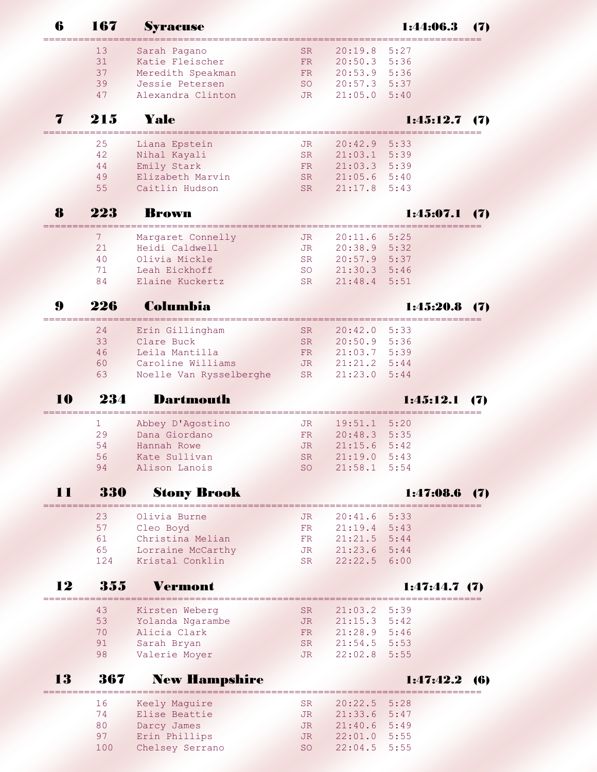| 6  | 167 | <b>Syracuse</b>         |           |                | 1:44:06.3                  | (7)        |
|----|-----|-------------------------|-----------|----------------|----------------------------|------------|
|    | 13  | Sarah Pagano            | <b>SR</b> | 20:19.8        | 5:27                       |            |
|    | 31  | Katie Fleischer         | FR.       | 20:50.3 5:36   |                            |            |
|    | 37  | Meredith Speakman       | <b>FR</b> | 20:53.9        | 5:36                       |            |
|    | 39  | Jessie Petersen         | SO        | 20:57.3        | 5:37                       |            |
|    | 47  | Alexandra Clinton       | JR.       | 21:05.0        | 5:40                       |            |
|    | 215 | Yale                    |           |                | 1:45:12.7                  | (7)        |
|    | 25  | Liana Epstein           | JR        | 20:42.9        | 5:33                       |            |
|    | 42  | Nihal Kayali            | SR.       | 21:03.1        | 5:39                       |            |
|    | 44  | Emily Stark             | <b>FR</b> | 21:03.3        | 5:39                       |            |
|    | 49  | Elizabeth Marvin        | <b>SR</b> | 21:05.6        | 5:40                       |            |
|    | 55  | Caitlin Hudson          | <b>SR</b> | 21:17.8        | 5:43                       |            |
| 8  | 223 | <b>Brown</b>            |           |                | 1:45:07.1                  | (7)        |
|    | 7   | Margaret Connelly       | JR        | 20:11.6        | 5:25                       |            |
|    | 21  | Heidi Caldwell          | JR.       | 20:38.9        | 5:32                       |            |
|    | 40  | Olivia Mickle           | <b>SR</b> | 20:57.9        | 5:37                       |            |
|    | 71  | Leah Eickhoff           | <b>SO</b> | 21:30.3        | 5:46                       |            |
|    | 84  | Elaine Kuckertz         | <b>SR</b> | 21:48.4        | 5:51                       |            |
| 9  | 226 | Columbia                |           |                | 1:45:20.8                  | 17)        |
|    |     |                         |           |                |                            |            |
|    | 24  | Erin Gillingham         | <b>SR</b> | 20:42.0        | 5:33                       |            |
|    | 33  | Clare Buck              | <b>SR</b> | 20:50.9        | 5:36                       |            |
|    | 46  | Leila Mantilla          | FR.       | 21:03.7        | 5:39                       |            |
|    | 60  | Caroline Williams       | JR.       | 21:21.2        | 5:44                       |            |
|    | 63  | Noelle Van Rysselberghe | <b>SR</b> | 21:23.0        | 5:44                       |            |
| 10 | 234 | <b>Dartmouth</b>        |           |                | 1:45:12.1                  | 17)        |
|    | 1   | Abbey D'Agostino        | JR        | 19:51.1        | 5:20                       |            |
|    | 29  | Dana Giordano           | FR        | 20:48.3        | 5:35                       |            |
|    | 54  | Hannah Rowe             | JR        | 21:15.6        | 5:42                       |            |
|    | 56  | Kate Sullivan           | <b>SR</b> | 21:19.0        | 5:43                       |            |
|    | 94  | Alison Lanois           | <b>SO</b> | 21:58.1        | 5:54                       |            |
| 11 | 330 | <b>Stony Brook</b>      |           |                | 1:47:08.6                  | (7)        |
|    | 23  | Olivia Burne            | JR        | 20:41.6        | 5:33                       |            |
|    | 57  | Cleo Boyd               | FR.       | 21:19.4 5:43   |                            |            |
|    | 61  | Christina Melian        | FR.       | $21:21.5$ 5:44 |                            |            |
|    | 65  | Lorraine McCarthy       | JR        | 21:23.6 5:44   |                            |            |
|    | 124 | Kristal Conklin         | <b>SR</b> | 22:22.5        | 6:00                       |            |
| 12 | 355 | Vermont                 |           |                | 1:47:44.7(7)               |            |
|    | 43  | Kirsten Weberg          | SR.       | 21:03.2        | ;=================<br>5:39 |            |
|    | 53  | Yolanda Ngarambe        | JR        | 21:15.3        | 5:42                       |            |
|    | 70  | Alicia Clark            | FR        | 21:28.9 5:46   |                            |            |
|    | 91  | Sarah Bryan             | SR.       | $21:54.5$ 5:53 |                            |            |
|    | 98  | Valerie Moyer           | <b>JR</b> | 22:02.8        | 5:55                       |            |
| 13 | 367 | <b>New Hampshire</b>    |           |                | 1:47:42.2                  | <b>(6)</b> |
|    | 16  | Keely Maguire           | <b>SR</b> | 20:22.5        | 5:28                       |            |
|    | 74  | Elise Beattie           | JR        | 21:33.6        | 5:47                       |            |
|    | 80  | Darcy James             | JR        | 21:40.6        | 5:49                       |            |
|    | 97  | Erin Phillips           | JR        | 22:01.0        | 5:55                       |            |
|    | 100 | Chelsey Serrano         | <b>SO</b> | 22:04.5        | 5:55                       |            |
|    |     |                         |           |                |                            |            |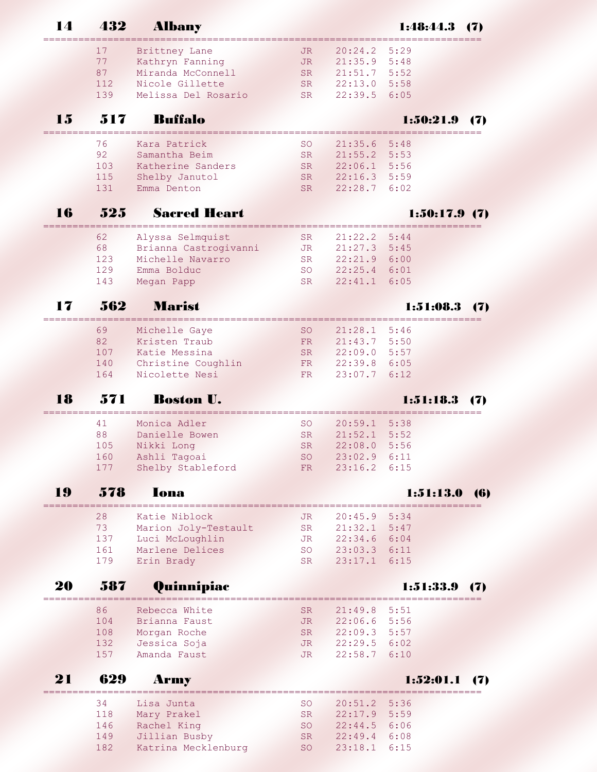|    |            | ------------------------------------ |            |                  |              |            |
|----|------------|--------------------------------------|------------|------------------|--------------|------------|
|    | 17         | Brittney Lane                        | JR.        | 20:24.2          | 5:29         |            |
|    | 77         | Kathryn Fanning                      | JR         | $21:35.9$ $5:48$ |              |            |
|    | 87         | Miranda McConnell                    | <b>SR</b>  | $21:51.7$ 5:52   |              |            |
|    | 112        | Nicole Gillette                      | <b>SR</b>  | 22:13.0 5:58     |              |            |
|    | 139        | Melissa Del Rosario                  | <b>SR</b>  | 22:39.5          | 6:05         |            |
|    |            |                                      |            |                  |              |            |
| 15 | 517        | <b>Buffalo</b>                       |            |                  | 1:50:21.9    | 17)        |
|    | 76         | Kara Patrick                         | <b>SO</b>  | 21:35.6          | 5:48         |            |
|    | 92         | Samantha Beim                        | <b>SR</b>  | 21:55.2 5:53     |              |            |
|    | 103        | Katherine Sanders                    | SR.        | 22:06.1          | 5:56         |            |
|    | 115        | Shelby Janutol                       | SR.        | $22:16.3$ 5:59   |              |            |
|    | 131        | Emma Denton                          | SR.        | 22:28.7          | 6:02         |            |
|    |            |                                      |            |                  |              |            |
| 16 | 525        | <b>Sacred Heart</b>                  |            |                  | 1:50:17.9(7) |            |
|    | 62         | Alyssa Selmquist                     | SR.        | 21:22.2          | 5:44         |            |
|    | 68         | Brianna Castrogivanni                | <b>JR</b>  | $21:27.3$ 5:45   |              |            |
|    | 123        | Michelle Navarro                     | <b>SR</b>  | 22:21.9 6:00     |              |            |
|    | 129        | Emma Bolduc                          | <b>SO</b>  | $22:25.4$ 6:01   |              |            |
|    | 143        | Megan Papp                           | <b>SR</b>  | 22:41.1          | 6:05         |            |
| 17 | 562        | <b>Marist</b>                        |            |                  | 1:51:08.3    | (7)        |
|    |            |                                      |            |                  |              |            |
|    | 69         | Michelle Gaye                        | <b>SO</b>  | 21:28.1          | 5:46         |            |
|    | 82         | Kristen Traub                        | FR         | 21:43.7 5:50     |              |            |
|    | 107        | Katie Messina                        | <b>SR</b>  | $22:09.0$ 5:57   |              |            |
|    | 140        | Christine Coughlin                   | FR         | 22:39.8 6:05     |              |            |
|    | 164        | Nicolette Nesi                       | FR         | 23:07.7          | 6:12         |            |
| 18 | 571        | <b>Boston U.</b>                     |            |                  | 1:51:18.3    | 17)        |
|    | 41         | Monica Adler                         | <b>SO</b>  | 20:59.1          | 5:38         |            |
|    | 88         | Danielle Bowen                       | SR.        | 21:52.1          | 5:52         |            |
|    | 105        | Nikki Long                           | <b>SR</b>  | 22:08.0 5:56     |              |            |
|    | 160        | Ashli Tagoai                         | <b>SO</b>  | 23:02.9          | 6:11         |            |
|    | 177        | Shelby Stableford                    | ${\rm FR}$ | $23:16.2$ 6:15   |              |            |
|    |            |                                      |            |                  |              |            |
| 19 | 578        | Iona                                 |            |                  | 1:51:13.0    | <b>(6)</b> |
|    | 28         | Katie Niblock                        | JR         | 20:45.9          | 5:34         |            |
|    | 73         | Marion Joly-Testault                 | ${\rm SR}$ | 21:32.1          | 5:47         |            |
|    | 137        | Luci McLoughlin                      | <b>JR</b>  | 22:34.6          | 6:04         |            |
|    | 161        | Marlene Delices                      | <b>SO</b>  | 23:03.3 6:11     |              |            |
|    | 179        | Erin Brady                           | <b>SR</b>  | 23:17.1          | 6:15         |            |
| 20 | 587        | Quinnipiac                           |            |                  | 1:51:33.9    |            |
|    | 86         | Rebecca White                        | <b>SR</b>  | 21:49.8          | 5:51         |            |
|    | 104        | Brianna Faust                        | <b>JR</b>  | $22:06.6$ 5:56   |              |            |
|    | 108        | Morgan Roche                         | <b>SR</b>  | $22:09.3$ 5:57   |              |            |
|    | 132        | Jessica Soja                         | JR.        | $22:29.5$ 6:02   |              |            |
|    | 157        | Amanda Faust                         | JR.        | 22:58.7          | 6:10         |            |
| 21 | 629        | <b>Army</b>                          |            |                  | 1:52:01.1    | 17 D       |
|    |            |                                      |            |                  |              |            |
|    | 34         | Lisa Junta                           | <b>SO</b>  | 20:51.2          | 5:36         |            |
|    | 118        | Mary Prakel                          | <b>SR</b>  | 22:17.9          | 5:59         |            |
|    | 146        | Rachel King                          | <b>SO</b>  | $22:44.5$ 6:06   |              |            |
|    | 149<br>182 | Jillian Busby<br>Katrina Mecklenburg | <b>SR</b>  | $22:49.4$ 6:08   | 6:15         |            |
|    |            |                                      | <b>SO</b>  | 23:18.1          |              |            |

## 14 432 Albany 1:48:44.3 (7)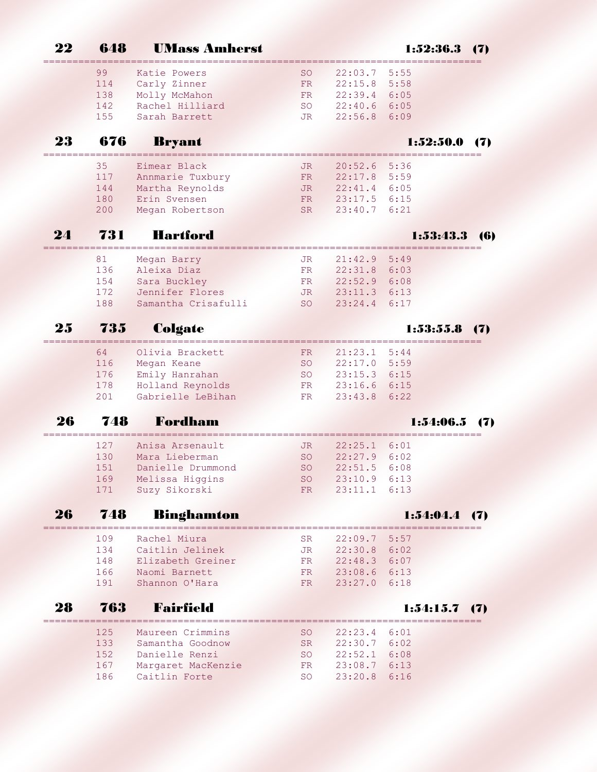|    | 648        | <b>UMass Amherst</b>                 |           |                                |                 | 17) |
|----|------------|--------------------------------------|-----------|--------------------------------|-----------------|-----|
|    | 99         | Katie Powers                         | <b>SO</b> | 22:03.7                        | 5:55            |     |
|    | 114        | Carly Zinner                         | FR        | 22:15.8                        | 5:58            |     |
|    | 138        | Molly McMahon                        | FR.       | 22:39.4                        | 6:05            |     |
|    | 142        | Rachel Hilliard                      | <b>SO</b> | 22:40.6                        | 6:05            |     |
|    | 155        | Sarah Barrett                        | JR.       | 22:56.8                        | 6:09            |     |
| 23 | 676        | <b>Bryant</b>                        |           |                                | 1:52:50.        | 17) |
|    | 35         | Eimear Black                         | JR.       | 20:52.6                        | 5:36            |     |
|    | 117        | Annmarie Tuxbury                     | FR.       | 22:17.8                        | 5:59            |     |
|    | 144        | Martha Reynolds                      | JR.       | 22:41.4                        | 6:05            |     |
|    | 180        | Erin Svensen                         | <b>FR</b> | 23:17.5                        | 6:15            |     |
|    | 200        | Megan Robertson                      | <b>SR</b> | 23:40.7                        | 6:21            |     |
| 24 | 731        | <b>Hartford</b>                      |           |                                | 1:53:43.3       | (6) |
|    | 81         | Megan Barry                          | JR.       | 21:42.9                        | 5:49            |     |
|    | 136        | Aleixa Diaz                          | FR.       | 22:31.8                        | 6:03            |     |
|    | 154        | Sara Buckley                         | FR.       | 22:52.9                        | 6:08            |     |
|    | 172        | Jennifer Flores                      | JR.       | 23:11.3                        | 6:13            |     |
|    | 188        | Samantha Crisafulli                  | <b>SO</b> | 23:24.4                        | 6:17            |     |
| 25 | 735        | Colgate                              |           |                                | 1:53:55.8       |     |
|    | 64         | Olivia Brackett                      | FR.       | 21:23.1                        | 5:44            |     |
|    | 116        | Megan Keane                          | <b>SO</b> | 22:17.0                        | 5:59            |     |
|    | 176        | Emily Hanrahan                       | <b>SO</b> | 23:15.3                        | 6:15            |     |
|    | 178        | Holland Reynolds                     | FR.       | 23:16.6                        | 6:15            |     |
|    | 201        | Gabrielle LeBihan                    | FR        | 23:43.8                        | 6:22            |     |
| 26 | 748        | Fordham                              |           |                                | 1:54:06.5       | 17) |
|    | 127        | Anisa Arsenault                      | JR.       | 22:25.1                        | 6:01            |     |
|    | 130        | Mara Lieberman                       | <b>SO</b> | 22:27.9                        | 6:02            |     |
|    | 151        | Danielle Drummond                    | <b>SO</b> | 22:51.5                        | 6:08            |     |
|    | 169        | Melissa Higgins                      | SO        | $23:10.9$ 6:13                 |                 |     |
|    |            | 171 Suzy Sikorski                    |           | FR 23:11.1 6:13                |                 |     |
| 26 | 748        | <b>Binghamton</b>                    |           |                                | $1:54:04.4$ (7) |     |
|    | 109        | Rachel Miura                         | SR.       | $22:09.7$ 5:57                 |                 |     |
|    | 134        | Caitlin Jelinek                      | JR        | 22:30.8 6:02                   |                 |     |
|    |            | 148 Elizabeth Greiner                |           | FR 22:48.3 6:07                |                 |     |
|    | 166        | Naomi Barnett                        |           | FR 23:08.6 6:13                |                 |     |
|    | 191        | Shannon O'Hara                       | FR<br>17  | 23:27.0 6:18                   |                 |     |
| 28 | 763        | <b>Fairfield</b>                     |           |                                | $1:54:15.7$ (7) |     |
|    |            |                                      |           |                                |                 |     |
|    |            |                                      | SO        |                                |                 |     |
|    | 125<br>133 | Maureen Crimmins<br>Samantha Goodnow | SR        | $22:23.4$ 6:01<br>22:30.7 6:02 |                 |     |
|    | 152        |                                      | SO        | 22:52.1 6:08                   |                 |     |
|    | 167        | Danielle Renzi<br>Margaret MacKenzie | FR        | 23:08.7 6:13                   |                 |     |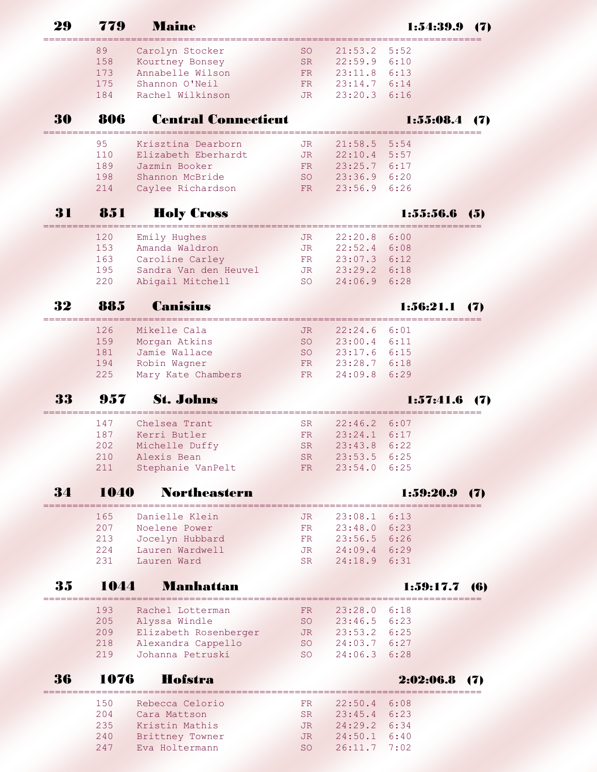|    | 779        | Maine                                                  |                  |                    | 1:54:39.9    | 17) |
|----|------------|--------------------------------------------------------|------------------|--------------------|--------------|-----|
|    | 89         | Carolyn Stocker                                        | SO.              | 21:53.2            | 5:52         |     |
|    | 158        | Kourtney Bonsey                                        | <b>SR</b>        | 22:59.9            | 6:10         |     |
|    | 173        | Annabelle Wilson                                       | <b>FR</b>        | 23:11.8            | 6:13         |     |
|    | 175        | Shannon O'Neil                                         | FR.              | 23:14.7            | 6:14         |     |
|    | 184        | Rachel Wilkinson                                       | <b>JR</b>        | 23:20.3            | 6:16         |     |
| 30 | 806        | <b>Central Connecticut</b>                             |                  |                    | 1:55:08.4    | 17) |
|    | 95         | Krisztina Dearborn                                     | JR               | 21:58.5            | 5:54         |     |
|    | 110        | Elizabeth Eberhardt                                    | JR.              | 22:10.4            | 5:57         |     |
|    | 189        | Jazmin Booker                                          | <b>FR</b>        | 23:25.7            | 6:17         |     |
|    | 198<br>214 | Shannon McBride<br>Caylee Richardson                   | <b>SO</b><br>FR. | 23:36.9<br>23:56.9 | 6:20<br>6:26 |     |
| 31 | 851        | <b>Holy Cross</b>                                      |                  |                    | 1:55:56.6    | 65) |
|    |            | ==============                                         |                  |                    |              |     |
|    | 120        | Emily Hughes                                           | JR.              | 22:20.8            | 6:00         |     |
|    | 153<br>163 | Amanda Waldron                                         | <b>JR</b>        | 22:52.4            | 6:08         |     |
|    | 195        | Caroline Carley<br>Sandra Van den Heuvel               | FR.<br>JR        | 23:07.3<br>23:29.2 | 6:12<br>6:18 |     |
|    | 220        | Abigail Mitchell                                       | <b>SO</b>        | 24:06.9            | 6:28         |     |
|    |            | Canisius                                               |                  |                    |              |     |
| 32 | 88.5       |                                                        |                  |                    | 1:56:21.1    | 17) |
|    | 126        | Mikelle Cala                                           | JR.              | 22:24.6            | 6:01         |     |
|    | 159        | Morgan Atkins                                          | <b>SO</b>        | 23:00.4            | 6:11         |     |
|    | 181        | Jamie Wallace                                          | <b>SO</b>        | 23:17.6            | 6:15         |     |
|    | 194        | Robin Wagner                                           | FR               | 23:28.7            | 6:18         |     |
|    | 225        | Mary Kate Chambers                                     | FR               | 24:09.8            | 6:29         |     |
|    | 957        | <b>St. Johns</b><br>================================== |                  |                    | 1:57:41.6    |     |
|    | 147        | Chelsea Trant                                          | <b>SR</b>        | 22:46.2            | 6:07         |     |
|    | 187        | Kerri Butler                                           | <b>FR</b>        | 23:24.1            | 6:17         |     |
|    | 202        | Michelle Duffy                                         | <b>SR</b>        | 23:43.8            | 6:22         |     |
|    | 210        | Alexis Bean                                            | SR               | 23:53.5 6:25       |              |     |
|    | 211        | Stephanie VanPelt                                      | FR               | 23:54.0 6:25       |              |     |
| 34 | 1040       | <b>Northeastern</b>                                    |                  |                    | 1:59:20.9    |     |
|    | 165        | Danielle Klein                                         | JR               | 23:08.1            | 6:13         |     |
|    | 207        | Noelene Power                                          | FR               | 23:48.0 6:23       |              |     |
|    | 213        | Jocelyn Hubbard                                        | FR               | 23:56.5 6:26       |              |     |
|    | 224        | Lauren Wardwell                                        | JR               | 24:09.4 6:29       |              |     |
|    | 231        | Lauren Ward                                            | SR               | 24:18.9 6:31       |              |     |
| 35 | 1044       | <b>Manhattan</b>                                       |                  |                    | 1:59:17.7    | 16) |
|    | 193        | Rachel Lotterman                                       | FR               | $23:28.0$ 6:18     |              |     |
|    | 205        | Alyssa Windle                                          | SO               | $23:46.5$ 6:23     |              |     |
|    | 209        | Elizabeth Rosenberger                                  | JR               | $23:53.2$ 6:25     |              |     |
|    | 218        | Alexandra Cappello                                     | SO               | 24:03.7 6:27       |              |     |
|    | 219        | Johanna Petruski                                       | SO               | 24:06.3            | 6:28         |     |
| 36 | 1076       | Hofstra                                                |                  |                    | 2:02:06.8    | 7)  |
|    | 150        | Rebecca Celorio                                        | FR               | $22:50.4$ 6:08     |              |     |
|    | 204        | Cara Mattson                                           | SR.              | $23:45.4$ 6:23     |              |     |
|    | 235        | Kristin Mathis                                         | JR.              | 24:29.2 6:34       |              |     |
|    | 240        | Brittney Towner                                        | JR               | 24:50.1 6:40       |              |     |
|    | 247        | Eva Holtermann                                         | <b>SO</b>        | 26:11.7 7:02       |              |     |